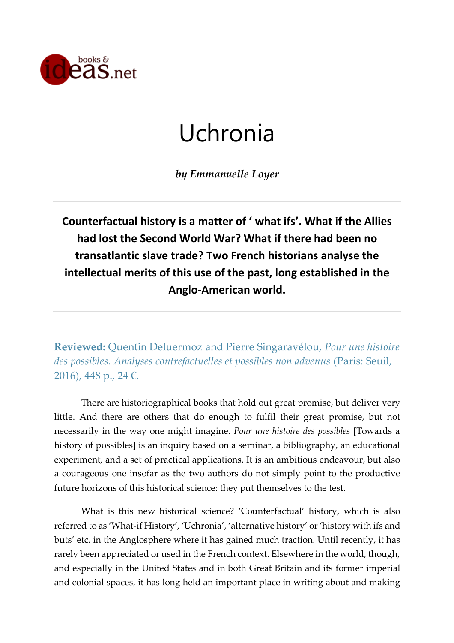

## Uchronia

*by Emmanuelle Loyer*

**Counterfactual history is a matter of ' what ifs'. What if the Allies had lost the Second World War? What if there had been no transatlantic slave trade? Two French historians analyse the intellectual merits of this use of the past, long established in the Anglo-American world.**

**Reviewed:** Quentin Deluermoz and Pierre Singaravélou, *Pour une histoire des possibles. Analyses contrefactuelles et possibles non advenus* (Paris: Seuil, 2016), 448 p., 24 €.

There are historiographical books that hold out great promise, but deliver very little. And there are others that do enough to fulfil their great promise, but not necessarily in the way one might imagine. *Pour une histoire des possibles* [Towards a history of possibles] is an inquiry based on a seminar, a bibliography, an educational experiment, and a set of practical applications. It is an ambitious endeavour, but also a courageous one insofar as the two authors do not simply point to the productive future horizons of this historical science: they put themselves to the test.

What is this new historical science? 'Counterfactual' history, which is also referred to as 'What-if History', 'Uchronia', 'alternative history' or 'history with ifs and buts' etc. in the Anglosphere where it has gained much traction. Until recently, it has rarely been appreciated or used in the French context. Elsewhere in the world, though, and especially in the United States and in both Great Britain and its former imperial and colonial spaces, it has long held an important place in writing about and making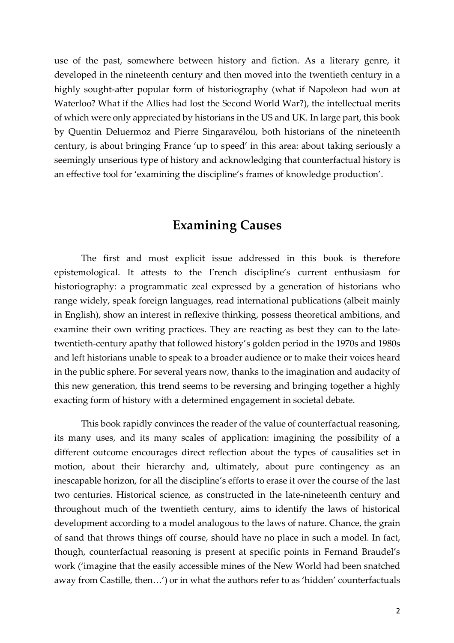use of the past, somewhere between history and fiction. As a literary genre, it developed in the nineteenth century and then moved into the twentieth century in a highly sought-after popular form of historiography (what if Napoleon had won at Waterloo? What if the Allies had lost the Second World War?), the intellectual merits of which were only appreciated by historians in the US and UK. In large part, this book by Quentin Deluermoz and Pierre Singaravélou, both historians of the nineteenth century, is about bringing France 'up to speed' in this area: about taking seriously a seemingly unserious type of history and acknowledging that counterfactual history is an effective tool for 'examining the discipline's frames of knowledge production'.

## **Examining Causes**

The first and most explicit issue addressed in this book is therefore epistemological. It attests to the French discipline's current enthusiasm for historiography: a programmatic zeal expressed by a generation of historians who range widely, speak foreign languages, read international publications (albeit mainly in English), show an interest in reflexive thinking, possess theoretical ambitions, and examine their own writing practices. They are reacting as best they can to the latetwentieth-century apathy that followed history's golden period in the 1970s and 1980s and left historians unable to speak to a broader audience or to make their voices heard in the public sphere. For several years now, thanks to the imagination and audacity of this new generation, this trend seems to be reversing and bringing together a highly exacting form of history with a determined engagement in societal debate.

This book rapidly convinces the reader of the value of counterfactual reasoning, its many uses, and its many scales of application: imagining the possibility of a different outcome encourages direct reflection about the types of causalities set in motion, about their hierarchy and, ultimately, about pure contingency as an inescapable horizon, for all the discipline's efforts to erase it over the course of the last two centuries. Historical science, as constructed in the late-nineteenth century and throughout much of the twentieth century, aims to identify the laws of historical development according to a model analogous to the laws of nature. Chance, the grain of sand that throws things off course, should have no place in such a model. In fact, though, counterfactual reasoning is present at specific points in Fernand Braudel's work ('imagine that the easily accessible mines of the New World had been snatched away from Castille, then…') or in what the authors refer to as 'hidden' counterfactuals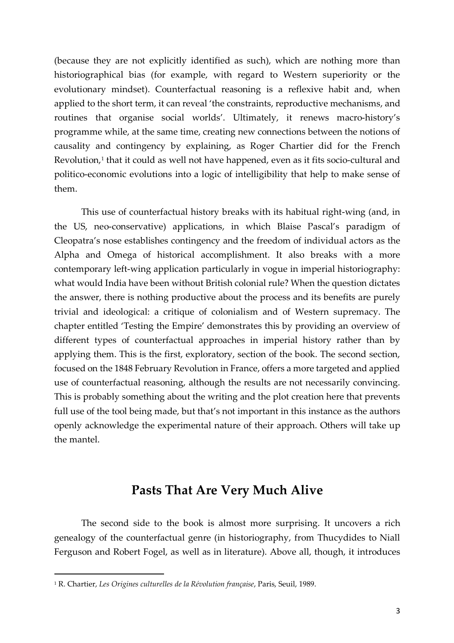(because they are not explicitly identified as such), which are nothing more than historiographical bias (for example, with regard to Western superiority or the evolutionary mindset). Counterfactual reasoning is a reflexive habit and, when applied to the short term, it can reveal 'the constraints, reproductive mechanisms, and routines that organise social worlds'. Ultimately, it renews macro-history's programme while, at the same time, creating new connections between the notions of causality and contingency by explaining, as Roger Chartier did for the French Revolution,<sup>1</sup> that it could as well not have happened, even as it fits socio-cultural and politico-economic evolutions into a logic of intelligibility that help to make sense of them.

This use of counterfactual history breaks with its habitual right-wing (and, in the US, neo-conservative) applications, in which Blaise Pascal's paradigm of Cleopatra's nose establishes contingency and the freedom of individual actors as the Alpha and Omega of historical accomplishment. It also breaks with a more contemporary left-wing application particularly in vogue in imperial historiography: what would India have been without British colonial rule? When the question dictates the answer, there is nothing productive about the process and its benefits are purely trivial and ideological: a critique of colonialism and of Western supremacy. The chapter entitled 'Testing the Empire' demonstrates this by providing an overview of different types of counterfactual approaches in imperial history rather than by applying them. This is the first, exploratory, section of the book. The second section, focused on the 1848 February Revolution in France, offers a more targeted and applied use of counterfactual reasoning, although the results are not necessarily convincing. This is probably something about the writing and the plot creation here that prevents full use of the tool being made, but that's not important in this instance as the authors openly acknowledge the experimental nature of their approach. Others will take up the mantel.

## **Pasts That Are Very Much Alive**

The second side to the book is almost more surprising. It uncovers a rich genealogy of the counterfactual genre (in historiography, from Thucydides to Niall Ferguson and Robert Fogel, as well as in literature). Above all, though, it introduces

<sup>1</sup> R. Chartier, *Les Origines culturelles de la Révolution française*, Paris, Seuil, 1989.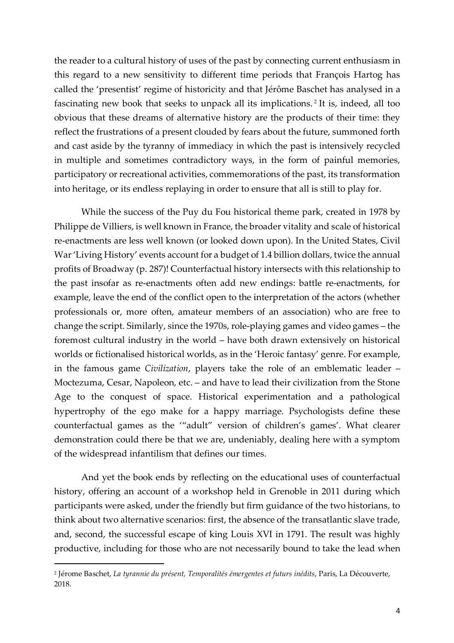the reader to a cultural history of uses of the past by connecting current enthusiasm in this regard to a new sensitivity to different time periods that François Hartog has called the 'presentist' regime of historicity and that Jérôme Baschet has analysed in a fascinating new book that seeks to unpack all its implications. <sup>2</sup> It is, indeed, all too obvious that these dreams of alternative history are the products of their time: they reflect the frustrations of a present clouded by fears about the future, summoned forth and cast aside by the tyranny of immediacy in which the past is intensively recycled in multiple and sometimes contradictory ways, in the form of painful memories, participatory or recreational activities, commemorations of the past, its transformation into heritage, or its endless replaying in order to ensure that all is still to play for.

While the success of the Puy du Fou historical theme park, created in 1978 by Philippe de Villiers, is well known in France, the broader vitality and scale of historical re-enactments are less well known (or looked down upon). In the United States, Civil War'Living History' events account for a budget of 1.4 billion dollars, twice the annual profits of Broadway (p. 287)! Counterfactual history intersects with this relationship to the past insofar as re-enactments often add new endings: battle re-enactments, for example, leave the end of the conflict open to the interpretation of the actors (whether professionals or, more often, amateur members of an association) who are free to change the script. Similarly, since the 1970s, role-playing games and video games – the foremost cultural industry in the world – have both drawn extensively on historical worlds or fictionalised historical worlds, as in the 'Heroic fantasy' genre. For example, in the famous game *Civilization*, players take the role of an emblematic leader – Moctezuma, Cesar, Napoleon, etc. – and have to lead their civilization from the Stone Age to the conquest of space. Historical experimentation and a pathological hypertrophy of the ego make for a happy marriage. Psychologists define these counterfactual games as the '"adult" version of children's games'. What clearer demonstration could there be that we are, undeniably, dealing here with a symptom of the widespread infantilism that defines our times.

And yet the book ends by reflecting on the educational uses of counterfactual history, offering an account of a workshop held in Grenoble in 2011 during which participants were asked, under the friendly but firm guidance of the two historians, to think about two alternative scenarios: first, the absence of the transatlantic slave trade, and, second, the successful escape of king Louis XVI in 1791. The result was highly productive, including for those who are not necessarily bound to take the lead when

<sup>2</sup> Jérome Baschet, *La tyrannie du présent, Temporalités émergentes et futurs inédits*, Paris, La Découverte, 2018.